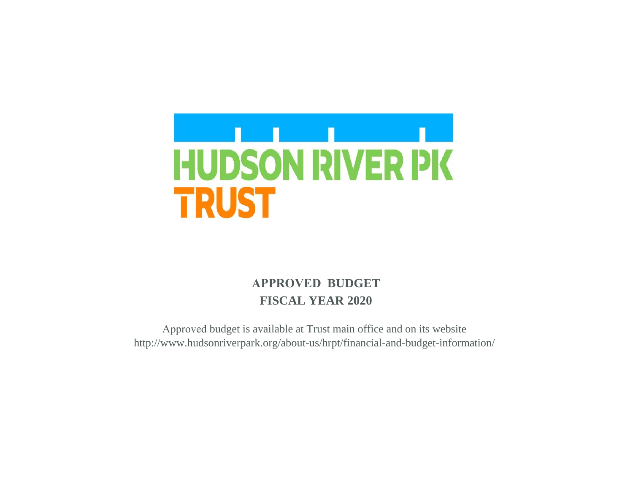

# **APPROVED BUDGET FISCAL YEAR 2020**

Approved budget is available at Trust main office and on its website http://www.hudsonriverpark.org/about-us/hrpt/financial-and-budget-information/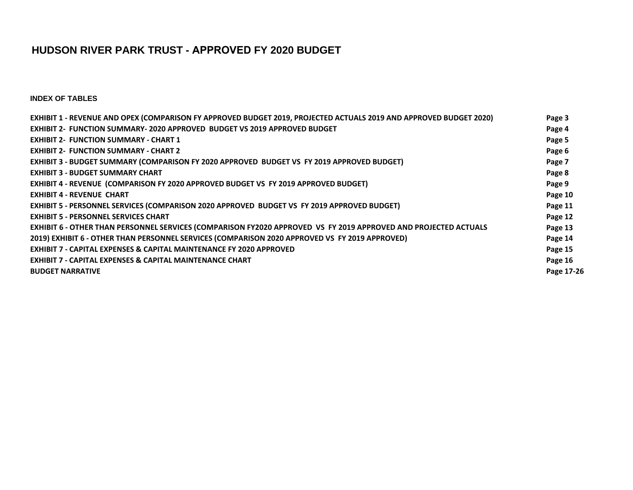# **HUDSON RIVER PARK TRUST - APPROVED FY 2020 BUDGET**

**INDEX OF TABLES**

| EXHIBIT 1 - REVENUE AND OPEX (COMPARISON FY APPROVED BUDGET 2019, PROJECTED ACTUALS 2019 AND APPROVED BUDGET 2020) | Page 3     |
|--------------------------------------------------------------------------------------------------------------------|------------|
| EXHIBIT 2- FUNCTION SUMMARY- 2020 APPROVED BUDGET VS 2019 APPROVED BUDGET                                          | Page 4     |
| <b>EXHIBIT 2- FUNCTION SUMMARY - CHART 1</b>                                                                       | Page 5     |
| <b>EXHIBIT 2- FUNCTION SUMMARY - CHART 2</b>                                                                       | Page 6     |
| EXHIBIT 3 - BUDGET SUMMARY (COMPARISON FY 2020 APPROVED BUDGET VS FY 2019 APPROVED BUDGET)                         | Page 7     |
| <b>EXHIBIT 3 - BUDGET SUMMARY CHART</b>                                                                            | Page 8     |
| <b>EXHIBIT 4 - REVENUE (COMPARISON FY 2020 APPROVED BUDGET VS FY 2019 APPROVED BUDGET)</b>                         | Page 9     |
| <b>EXHIBIT 4 - REVENUE CHART</b>                                                                                   | Page 10    |
| EXHIBIT 5 - PERSONNEL SERVICES (COMPARISON 2020 APPROVED BUDGET VS FY 2019 APPROVED BUDGET)                        | Page 11    |
| <b>EXHIBIT 5 - PERSONNEL SERVICES CHART</b>                                                                        | Page 12    |
| EXHIBIT 6 - OTHER THAN PERSONNEL SERVICES (COMPARISON FY2020 APPROVED VS FY 2019 APPROVED AND PROJECTED ACTUALS    | Page 13    |
| 2019) EXHIBIT 6 - OTHER THAN PERSONNEL SERVICES (COMPARISON 2020 APPROVED VS FY 2019 APPROVED)                     | Page 14    |
| <b>EXHIBIT 7 - CAPITAL EXPENSES &amp; CAPITAL MAINTENANCE FY 2020 APPROVED</b>                                     | Page 15    |
| <b>EXHIBIT 7 - CAPITAL EXPENSES &amp; CAPITAL MAINTENANCE CHART</b>                                                | Page 16    |
| <b>BUDGET NARRATIVE</b>                                                                                            | Page 17-26 |
|                                                                                                                    |            |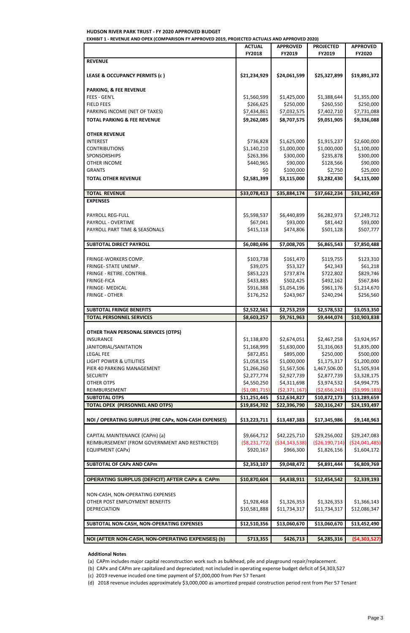**HUDSON RIVER PARK TRUST - FY 2020 APPROVED BUDGET**

**EXHIBIT 1 - REVENUE AND OPEX (COMPARISON FY APPROVED 2019, PROJECTED ACTUALS AND APPROVED 2020)**

| <b>LEGAL FEE</b><br><b>LIGHT POWER &amp; UTILITIES</b><br>PIER 40 PARKING MANAGEMENT<br><b>SECURITY</b><br><b>OTHER OTPS</b><br>REIMBURSEMENT<br><b>SUBTOTAL OTPS</b><br><b>TOTAL OPEX (PERSONNEL AND OTPS)</b><br>NOI / OPERATING SURPLUS (PRE CAPx, NON-CASH EXPENSES)<br>CAPITAL MAINTENANCE (CAPm) (a)<br>REIMBURSEMENT (FROM GOVERNMENT AND RESTRICTED)<br><b>EQUIPMENT (CAPx)</b><br><b>SUBTOTAL OF CAPx AND CAPm</b><br><b>OPERATING SURPLUS (DEFICIT) AFTER CAPx &amp; CAPm</b><br>NON-CASH, NON-OPERATING EXPENSES<br>OTHER POST EMPLOYMENT BENEFITS<br>DEPRECIATION | \$872,851<br>\$1,058,156<br>\$1,266,260<br>\$2,277,774<br>\$4,550,250<br>( \$1,081,715)<br>\$11,251,445<br>\$19,854,702<br>\$13,223,711<br>\$9,664,712<br>( \$8, 231, 772)<br>\$920,167<br>\$2,353,107<br>\$10,870,604<br>\$1,928,468<br>\$10,581,888 | \$895,000<br>\$1,000,000<br>\$1,567,506<br>\$2,927,739<br>\$4,311,698<br>(52, 371, 167)<br>\$12,634,827<br>\$22,396,790<br>\$13,487,383<br>\$42,225,710<br>( \$34, 143, 538)<br>\$966,300<br>\$9,048,472<br>\$4,438,911<br>\$1,326,353<br>\$11,734,317 | \$250,000<br>\$1,175,317<br>1,467,506.00<br>\$2,877,739<br>\$3,974,532<br>( \$2,656,241)<br>\$10,872,173<br>\$20,316,247<br>\$17,345,986<br>\$29,256,002<br>( \$26,190,714)<br>\$1,826,156<br>\$4,891,444<br>\$12,454,542<br>\$1,326,353<br>\$11,734,317 | \$1,835,000<br>\$500,000<br>\$1,200,000<br>\$1,505,934<br>\$3,328,175<br>\$4,994,775<br>( \$3,999,183)<br>\$13,289,659<br>\$24,193,497<br>\$9,148,963<br>\$29,247,083<br>( \$24,041,485)<br>\$1,604,172<br>\$6,809,769<br>\$2,339,193<br>\$1,366,143<br>\$12,086,347 |
|-------------------------------------------------------------------------------------------------------------------------------------------------------------------------------------------------------------------------------------------------------------------------------------------------------------------------------------------------------------------------------------------------------------------------------------------------------------------------------------------------------------------------------------------------------------------------------|-------------------------------------------------------------------------------------------------------------------------------------------------------------------------------------------------------------------------------------------------------|--------------------------------------------------------------------------------------------------------------------------------------------------------------------------------------------------------------------------------------------------------|----------------------------------------------------------------------------------------------------------------------------------------------------------------------------------------------------------------------------------------------------------|----------------------------------------------------------------------------------------------------------------------------------------------------------------------------------------------------------------------------------------------------------------------|
|                                                                                                                                                                                                                                                                                                                                                                                                                                                                                                                                                                               |                                                                                                                                                                                                                                                       |                                                                                                                                                                                                                                                        |                                                                                                                                                                                                                                                          |                                                                                                                                                                                                                                                                      |
|                                                                                                                                                                                                                                                                                                                                                                                                                                                                                                                                                                               |                                                                                                                                                                                                                                                       |                                                                                                                                                                                                                                                        |                                                                                                                                                                                                                                                          |                                                                                                                                                                                                                                                                      |
|                                                                                                                                                                                                                                                                                                                                                                                                                                                                                                                                                                               |                                                                                                                                                                                                                                                       |                                                                                                                                                                                                                                                        |                                                                                                                                                                                                                                                          |                                                                                                                                                                                                                                                                      |
|                                                                                                                                                                                                                                                                                                                                                                                                                                                                                                                                                                               |                                                                                                                                                                                                                                                       |                                                                                                                                                                                                                                                        |                                                                                                                                                                                                                                                          |                                                                                                                                                                                                                                                                      |
|                                                                                                                                                                                                                                                                                                                                                                                                                                                                                                                                                                               |                                                                                                                                                                                                                                                       |                                                                                                                                                                                                                                                        |                                                                                                                                                                                                                                                          |                                                                                                                                                                                                                                                                      |
|                                                                                                                                                                                                                                                                                                                                                                                                                                                                                                                                                                               |                                                                                                                                                                                                                                                       |                                                                                                                                                                                                                                                        |                                                                                                                                                                                                                                                          |                                                                                                                                                                                                                                                                      |
|                                                                                                                                                                                                                                                                                                                                                                                                                                                                                                                                                                               |                                                                                                                                                                                                                                                       |                                                                                                                                                                                                                                                        |                                                                                                                                                                                                                                                          |                                                                                                                                                                                                                                                                      |
|                                                                                                                                                                                                                                                                                                                                                                                                                                                                                                                                                                               |                                                                                                                                                                                                                                                       |                                                                                                                                                                                                                                                        |                                                                                                                                                                                                                                                          |                                                                                                                                                                                                                                                                      |
|                                                                                                                                                                                                                                                                                                                                                                                                                                                                                                                                                                               |                                                                                                                                                                                                                                                       |                                                                                                                                                                                                                                                        |                                                                                                                                                                                                                                                          |                                                                                                                                                                                                                                                                      |
|                                                                                                                                                                                                                                                                                                                                                                                                                                                                                                                                                                               |                                                                                                                                                                                                                                                       |                                                                                                                                                                                                                                                        |                                                                                                                                                                                                                                                          |                                                                                                                                                                                                                                                                      |
|                                                                                                                                                                                                                                                                                                                                                                                                                                                                                                                                                                               |                                                                                                                                                                                                                                                       |                                                                                                                                                                                                                                                        |                                                                                                                                                                                                                                                          |                                                                                                                                                                                                                                                                      |
|                                                                                                                                                                                                                                                                                                                                                                                                                                                                                                                                                                               |                                                                                                                                                                                                                                                       |                                                                                                                                                                                                                                                        |                                                                                                                                                                                                                                                          |                                                                                                                                                                                                                                                                      |
|                                                                                                                                                                                                                                                                                                                                                                                                                                                                                                                                                                               |                                                                                                                                                                                                                                                       |                                                                                                                                                                                                                                                        |                                                                                                                                                                                                                                                          |                                                                                                                                                                                                                                                                      |
|                                                                                                                                                                                                                                                                                                                                                                                                                                                                                                                                                                               |                                                                                                                                                                                                                                                       |                                                                                                                                                                                                                                                        |                                                                                                                                                                                                                                                          |                                                                                                                                                                                                                                                                      |
|                                                                                                                                                                                                                                                                                                                                                                                                                                                                                                                                                                               |                                                                                                                                                                                                                                                       |                                                                                                                                                                                                                                                        |                                                                                                                                                                                                                                                          |                                                                                                                                                                                                                                                                      |
|                                                                                                                                                                                                                                                                                                                                                                                                                                                                                                                                                                               |                                                                                                                                                                                                                                                       |                                                                                                                                                                                                                                                        |                                                                                                                                                                                                                                                          |                                                                                                                                                                                                                                                                      |
|                                                                                                                                                                                                                                                                                                                                                                                                                                                                                                                                                                               |                                                                                                                                                                                                                                                       |                                                                                                                                                                                                                                                        |                                                                                                                                                                                                                                                          |                                                                                                                                                                                                                                                                      |
|                                                                                                                                                                                                                                                                                                                                                                                                                                                                                                                                                                               |                                                                                                                                                                                                                                                       |                                                                                                                                                                                                                                                        |                                                                                                                                                                                                                                                          |                                                                                                                                                                                                                                                                      |
|                                                                                                                                                                                                                                                                                                                                                                                                                                                                                                                                                                               |                                                                                                                                                                                                                                                       |                                                                                                                                                                                                                                                        |                                                                                                                                                                                                                                                          |                                                                                                                                                                                                                                                                      |
|                                                                                                                                                                                                                                                                                                                                                                                                                                                                                                                                                                               |                                                                                                                                                                                                                                                       |                                                                                                                                                                                                                                                        |                                                                                                                                                                                                                                                          |                                                                                                                                                                                                                                                                      |
|                                                                                                                                                                                                                                                                                                                                                                                                                                                                                                                                                                               |                                                                                                                                                                                                                                                       |                                                                                                                                                                                                                                                        |                                                                                                                                                                                                                                                          |                                                                                                                                                                                                                                                                      |
| JANITORIAL/SANITATION                                                                                                                                                                                                                                                                                                                                                                                                                                                                                                                                                         | \$1,168,999                                                                                                                                                                                                                                           | \$1,630,000                                                                                                                                                                                                                                            | \$1,316,063                                                                                                                                                                                                                                              |                                                                                                                                                                                                                                                                      |
| <b>INSURANCE</b>                                                                                                                                                                                                                                                                                                                                                                                                                                                                                                                                                              | \$1,138,870                                                                                                                                                                                                                                           | \$2,674,051                                                                                                                                                                                                                                            | \$2,467,258                                                                                                                                                                                                                                              | \$3,924,957                                                                                                                                                                                                                                                          |
| <b>OTHER THAN PERSONAL SERVICES (OTPS)</b>                                                                                                                                                                                                                                                                                                                                                                                                                                                                                                                                    |                                                                                                                                                                                                                                                       |                                                                                                                                                                                                                                                        |                                                                                                                                                                                                                                                          |                                                                                                                                                                                                                                                                      |
|                                                                                                                                                                                                                                                                                                                                                                                                                                                                                                                                                                               |                                                                                                                                                                                                                                                       |                                                                                                                                                                                                                                                        |                                                                                                                                                                                                                                                          |                                                                                                                                                                                                                                                                      |
| <b>TOTAL PERSONNEL SERVICES</b>                                                                                                                                                                                                                                                                                                                                                                                                                                                                                                                                               | \$8,603,257                                                                                                                                                                                                                                           | \$9,761,963                                                                                                                                                                                                                                            | \$9,444,074                                                                                                                                                                                                                                              | \$10,903,838                                                                                                                                                                                                                                                         |
| <b>SUBTOTAL FRINGE BENEFITS</b>                                                                                                                                                                                                                                                                                                                                                                                                                                                                                                                                               | \$2,522,561                                                                                                                                                                                                                                           | \$2,753,259                                                                                                                                                                                                                                            | \$2,578,532                                                                                                                                                                                                                                              | \$3,053,350                                                                                                                                                                                                                                                          |
|                                                                                                                                                                                                                                                                                                                                                                                                                                                                                                                                                                               |                                                                                                                                                                                                                                                       |                                                                                                                                                                                                                                                        |                                                                                                                                                                                                                                                          |                                                                                                                                                                                                                                                                      |
| <b>FRINGE - OTHER</b>                                                                                                                                                                                                                                                                                                                                                                                                                                                                                                                                                         | \$176,252                                                                                                                                                                                                                                             | \$243,967                                                                                                                                                                                                                                              | \$240,294                                                                                                                                                                                                                                                | \$256,560                                                                                                                                                                                                                                                            |
| FRINGE- MEDICAL                                                                                                                                                                                                                                                                                                                                                                                                                                                                                                                                                               | \$916,388                                                                                                                                                                                                                                             | \$1,054,196                                                                                                                                                                                                                                            | \$961,176                                                                                                                                                                                                                                                | \$1,214,670                                                                                                                                                                                                                                                          |
| <b>FRINGE-FICA</b>                                                                                                                                                                                                                                                                                                                                                                                                                                                                                                                                                            | \$433,885                                                                                                                                                                                                                                             | \$502,425                                                                                                                                                                                                                                              | \$492,162                                                                                                                                                                                                                                                | \$567,846                                                                                                                                                                                                                                                            |
| FRINGE - RETIRE. CONTRIB.                                                                                                                                                                                                                                                                                                                                                                                                                                                                                                                                                     | \$853,223                                                                                                                                                                                                                                             | \$737,874                                                                                                                                                                                                                                              | \$722,802                                                                                                                                                                                                                                                | \$829,746                                                                                                                                                                                                                                                            |
| FRINGE- STATE UNEMP.                                                                                                                                                                                                                                                                                                                                                                                                                                                                                                                                                          | \$39,075                                                                                                                                                                                                                                              | \$53,327                                                                                                                                                                                                                                               | \$42,343                                                                                                                                                                                                                                                 | \$61,218                                                                                                                                                                                                                                                             |
| FRINGE-WORKERS COMP.                                                                                                                                                                                                                                                                                                                                                                                                                                                                                                                                                          | \$103,738                                                                                                                                                                                                                                             | \$161,470                                                                                                                                                                                                                                              | \$119,755                                                                                                                                                                                                                                                | \$123,310                                                                                                                                                                                                                                                            |
|                                                                                                                                                                                                                                                                                                                                                                                                                                                                                                                                                                               |                                                                                                                                                                                                                                                       |                                                                                                                                                                                                                                                        |                                                                                                                                                                                                                                                          |                                                                                                                                                                                                                                                                      |
| <b>SUBTOTAL DIRECT PAYROLL</b>                                                                                                                                                                                                                                                                                                                                                                                                                                                                                                                                                | \$6,080,696                                                                                                                                                                                                                                           | \$7,008,705                                                                                                                                                                                                                                            | \$6,865,543                                                                                                                                                                                                                                              | \$7,850,488                                                                                                                                                                                                                                                          |
|                                                                                                                                                                                                                                                                                                                                                                                                                                                                                                                                                                               |                                                                                                                                                                                                                                                       |                                                                                                                                                                                                                                                        |                                                                                                                                                                                                                                                          |                                                                                                                                                                                                                                                                      |
| PAYROLL PART TIME & SEASONALS                                                                                                                                                                                                                                                                                                                                                                                                                                                                                                                                                 | \$415,118                                                                                                                                                                                                                                             | \$474,806                                                                                                                                                                                                                                              | \$501,128                                                                                                                                                                                                                                                | \$507,777                                                                                                                                                                                                                                                            |
| PAYROLL - OVERTIME                                                                                                                                                                                                                                                                                                                                                                                                                                                                                                                                                            | \$67,041                                                                                                                                                                                                                                              | \$93,000                                                                                                                                                                                                                                               | \$81,442                                                                                                                                                                                                                                                 | \$93,000                                                                                                                                                                                                                                                             |
| <b>PAYROLL REG-FULL</b>                                                                                                                                                                                                                                                                                                                                                                                                                                                                                                                                                       | \$5,598,537                                                                                                                                                                                                                                           | \$6,440,899                                                                                                                                                                                                                                            | \$6,282,973                                                                                                                                                                                                                                              | \$7,249,712                                                                                                                                                                                                                                                          |
|                                                                                                                                                                                                                                                                                                                                                                                                                                                                                                                                                                               |                                                                                                                                                                                                                                                       |                                                                                                                                                                                                                                                        |                                                                                                                                                                                                                                                          |                                                                                                                                                                                                                                                                      |
| <b>EXPENSES</b>                                                                                                                                                                                                                                                                                                                                                                                                                                                                                                                                                               |                                                                                                                                                                                                                                                       |                                                                                                                                                                                                                                                        |                                                                                                                                                                                                                                                          |                                                                                                                                                                                                                                                                      |
| <b>TOTAL REVENUE</b>                                                                                                                                                                                                                                                                                                                                                                                                                                                                                                                                                          | \$33,078,413                                                                                                                                                                                                                                          | \$35,884,174                                                                                                                                                                                                                                           | \$37,662,234                                                                                                                                                                                                                                             | \$33,342,459                                                                                                                                                                                                                                                         |
|                                                                                                                                                                                                                                                                                                                                                                                                                                                                                                                                                                               |                                                                                                                                                                                                                                                       |                                                                                                                                                                                                                                                        |                                                                                                                                                                                                                                                          |                                                                                                                                                                                                                                                                      |
| <b>TOTAL OTHER REVENUE</b>                                                                                                                                                                                                                                                                                                                                                                                                                                                                                                                                                    | \$2,581,399                                                                                                                                                                                                                                           | \$3,115,000                                                                                                                                                                                                                                            | \$3,282,430                                                                                                                                                                                                                                              | \$4,115,000                                                                                                                                                                                                                                                          |
| <b>GRANTS</b>                                                                                                                                                                                                                                                                                                                                                                                                                                                                                                                                                                 | \$0                                                                                                                                                                                                                                                   | \$100,000                                                                                                                                                                                                                                              | \$2,750                                                                                                                                                                                                                                                  | \$25,000                                                                                                                                                                                                                                                             |
| <b>OTHER INCOME</b>                                                                                                                                                                                                                                                                                                                                                                                                                                                                                                                                                           | \$440,965                                                                                                                                                                                                                                             | \$90,000                                                                                                                                                                                                                                               | \$128,566                                                                                                                                                                                                                                                | \$90,000                                                                                                                                                                                                                                                             |
| SPONSORSHIPS                                                                                                                                                                                                                                                                                                                                                                                                                                                                                                                                                                  | \$263,396                                                                                                                                                                                                                                             | \$300,000                                                                                                                                                                                                                                              | \$235,878                                                                                                                                                                                                                                                | \$300,000                                                                                                                                                                                                                                                            |
| <b>CONTRIBUTIONS</b>                                                                                                                                                                                                                                                                                                                                                                                                                                                                                                                                                          | \$736,828<br>\$1,140,210                                                                                                                                                                                                                              | \$1,625,000<br>\$1,000,000                                                                                                                                                                                                                             | \$1,915,237<br>\$1,000,000                                                                                                                                                                                                                               | \$1,100,000                                                                                                                                                                                                                                                          |
| <b>OTHER REVENUE</b><br><b>INTEREST</b>                                                                                                                                                                                                                                                                                                                                                                                                                                                                                                                                       |                                                                                                                                                                                                                                                       |                                                                                                                                                                                                                                                        |                                                                                                                                                                                                                                                          | \$2,600,000                                                                                                                                                                                                                                                          |
|                                                                                                                                                                                                                                                                                                                                                                                                                                                                                                                                                                               |                                                                                                                                                                                                                                                       |                                                                                                                                                                                                                                                        |                                                                                                                                                                                                                                                          |                                                                                                                                                                                                                                                                      |
| <b>TOTAL PARKING &amp; FEE REVENUE</b>                                                                                                                                                                                                                                                                                                                                                                                                                                                                                                                                        | \$9,262,085                                                                                                                                                                                                                                           | \$8,707,575                                                                                                                                                                                                                                            | \$9,051,905                                                                                                                                                                                                                                              | \$9,336,088                                                                                                                                                                                                                                                          |
|                                                                                                                                                                                                                                                                                                                                                                                                                                                                                                                                                                               |                                                                                                                                                                                                                                                       | \$7,032,575                                                                                                                                                                                                                                            | \$7,402,710                                                                                                                                                                                                                                              |                                                                                                                                                                                                                                                                      |
| PARKING INCOME (NET OF TAXES)                                                                                                                                                                                                                                                                                                                                                                                                                                                                                                                                                 | \$266,625<br>\$7,434,861                                                                                                                                                                                                                              |                                                                                                                                                                                                                                                        |                                                                                                                                                                                                                                                          | \$250,000<br>\$7,731,088                                                                                                                                                                                                                                             |
| <b>FIELD FEES</b>                                                                                                                                                                                                                                                                                                                                                                                                                                                                                                                                                             | \$1,560,599                                                                                                                                                                                                                                           | \$1,425,000<br>\$250,000                                                                                                                                                                                                                               | \$1,388,644<br>\$260,550                                                                                                                                                                                                                                 | \$1,355,000                                                                                                                                                                                                                                                          |
| <b>PARKING, &amp; FEE REVENUE</b><br>FEES - GEN'L                                                                                                                                                                                                                                                                                                                                                                                                                                                                                                                             |                                                                                                                                                                                                                                                       |                                                                                                                                                                                                                                                        |                                                                                                                                                                                                                                                          |                                                                                                                                                                                                                                                                      |
|                                                                                                                                                                                                                                                                                                                                                                                                                                                                                                                                                                               |                                                                                                                                                                                                                                                       |                                                                                                                                                                                                                                                        |                                                                                                                                                                                                                                                          |                                                                                                                                                                                                                                                                      |
| LEASE & OCCUPANCY PERMITS (c)                                                                                                                                                                                                                                                                                                                                                                                                                                                                                                                                                 | \$21,234,929                                                                                                                                                                                                                                          | \$24,061,599                                                                                                                                                                                                                                           | \$25,327,899                                                                                                                                                                                                                                             | \$19,891,372                                                                                                                                                                                                                                                         |
|                                                                                                                                                                                                                                                                                                                                                                                                                                                                                                                                                                               |                                                                                                                                                                                                                                                       |                                                                                                                                                                                                                                                        |                                                                                                                                                                                                                                                          |                                                                                                                                                                                                                                                                      |
|                                                                                                                                                                                                                                                                                                                                                                                                                                                                                                                                                                               |                                                                                                                                                                                                                                                       |                                                                                                                                                                                                                                                        |                                                                                                                                                                                                                                                          |                                                                                                                                                                                                                                                                      |
| <b>REVENUE</b>                                                                                                                                                                                                                                                                                                                                                                                                                                                                                                                                                                | FY2018                                                                                                                                                                                                                                                | FY2019                                                                                                                                                                                                                                                 | FY2019                                                                                                                                                                                                                                                   | FY2020                                                                                                                                                                                                                                                               |
|                                                                                                                                                                                                                                                                                                                                                                                                                                                                                                                                                                               | <b>ACTUAL</b>                                                                                                                                                                                                                                         | <b>APPROVED</b>                                                                                                                                                                                                                                        |                                                                                                                                                                                                                                                          |                                                                                                                                                                                                                                                                      |

#### **Additional Notes**

- (a) CAPm includes major capital reconstruction work such as bulkhead, pile and playground repair/replacement.
- (b) CAPx and CAPm are capitalized and depreciated; not included in operating expense budget deficit of \$4,303,527
- (c) 2019 revenue incuded one time payment of \$7,000,000 from Pier 57 Tenant
- (d) 2018 revenue includes approximately \$3,000,000 as amortized prepaid construction period rent from Pier 57 Tenant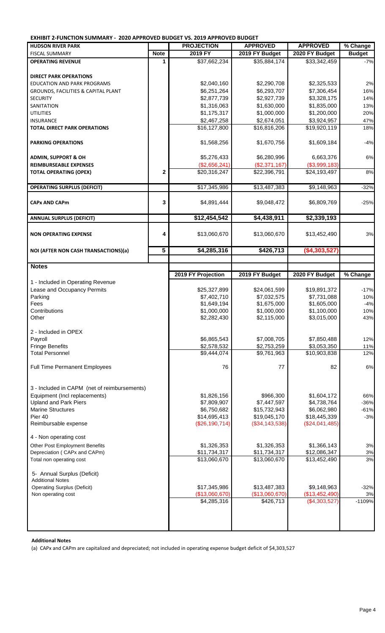**EXHIBIT 2-FUNCTION SUMMARY - 2020 APPROVED BUDGET VS. 2019 APPROVED BUDGET**

| EXHIBIT Z-FUNCTION SUMIMARY -  ZUZU APPROVED BUDGET VS. ZUI9 APPROVED BUDGET |             |                    |                         |                          |               |
|------------------------------------------------------------------------------|-------------|--------------------|-------------------------|--------------------------|---------------|
| <b>HUDSON RIVER PARK</b>                                                     |             | <b>PROJECTION</b>  | <b>APPROVED</b>         | <b>APPROVED</b>          | % Change      |
| <b>FISCAL SUMMARY</b>                                                        | <b>Note</b> | 2019 FY            | 2019 FY Budget          | 2020 FY Budget           | <b>Budget</b> |
| <b>OPERATING REVENUE</b>                                                     | 1           | \$37,662,234       | \$35,884,174            | \$33,342,459             | $-7%$         |
|                                                                              |             |                    |                         |                          |               |
| <b>DIRECT PARK OPERATIONS</b>                                                |             |                    |                         |                          |               |
| <b>EDUCATION AND PARK PROGRAMS</b>                                           |             | \$2,040,160        | \$2,290,708             | \$2,325,533              | 2%            |
| <b>GROUNDS, FACILITIES &amp; CAPITAL PLANT</b>                               |             | \$6,251,264        | \$6,293,707             | \$7,306,454              | 16%           |
| <b>SECURITY</b>                                                              |             | \$2,877,739        | \$2,927,739             | \$3,328,175              | 14%           |
| SANITATION                                                                   |             | \$1,316,063        | \$1,630,000             | \$1,835,000              | 13%           |
| <b>UTILITIES</b>                                                             |             | \$1,175,317        | \$1,000,000             | \$1,200,000              | 20%           |
| <b>INSURANCE</b>                                                             |             | \$2,467,258        | \$2,674,051             | \$3,924,957              | 47%           |
| <b>TOTAL DIRECT PARK OPERATIONS</b>                                          |             | \$16,127,800       | \$16,816,206            | \$19,920,119             | 18%           |
| <b>PARKING OPERATIONS</b>                                                    |             | \$1,568,256        | \$1,670,756             | \$1,609,184              | $-4%$         |
| <b>ADMIN, SUPPORT &amp; OH</b>                                               |             | \$5,276,433        | \$6,280,996             | 6,663,376                | 6%            |
| <b>REIMBURSEABLE EXPENSES</b>                                                |             | (\$2,656,241)      | (\$2,371,167)           | (\$3,999,183)            |               |
| <b>TOTAL OPERATING (OPEX)</b>                                                | $\mathbf 2$ | \$20,316,247       | \$22,396,791            | \$24,193,497             | 8%            |
|                                                                              |             |                    |                         |                          |               |
| <b>OPERATING SURPLUS (DEFICIT)</b>                                           |             | \$17,345,986       | \$13,487,383            | \$9,148,963              | $-32%$        |
|                                                                              |             |                    |                         |                          |               |
| <b>CAPx AND CAPm</b>                                                         | 3           | \$4,891,444        | \$9,048,472             | \$6,809,769              | $-25%$        |
| <b>ANNUAL SURPLUS (DEFICIT)</b>                                              |             | \$12,454,542       | \$4,438,911             | \$2,339,193              |               |
|                                                                              |             |                    |                         |                          |               |
| <b>NON OPERATING EXPENSE</b>                                                 | 4           | \$13,060,670       | \$13,060,670            | \$13,452,490             | 3%            |
| NOI (AFTER NON CASH TRANSACTIONS)(a)                                         | 5           | \$4,285,316        | \$426,713               | ( \$4,303,527]           |               |
|                                                                              |             |                    |                         |                          |               |
| <b>Notes</b>                                                                 |             |                    |                         |                          |               |
|                                                                              |             | 2019 FY Projection | 2019 FY Budget          | 2020 FY Budget           | % Change      |
| 1 - Included in Operating Revenue                                            |             |                    |                         |                          |               |
|                                                                              |             |                    |                         |                          |               |
|                                                                              |             |                    |                         |                          |               |
| Lease and Occupancy Permits                                                  |             | \$25,327,899       | \$24,061,599            | \$19,891,372             | $-17%$        |
| Parking                                                                      |             | \$7,402,710        | \$7,032,575             | \$7,731,088              | 10%           |
| Fees                                                                         |             | \$1,649,194        | \$1,675,000             | \$1,605,000              | $-4%$         |
| Contributions                                                                |             | \$1,000,000        | \$1,000,000             | \$1,100,000              | 10%           |
| Other                                                                        |             | \$2,282,430        | \$2,115,000             | \$3,015,000              | 43%           |
| 2 - Included in OPEX                                                         |             |                    |                         |                          |               |
| Payroll                                                                      |             | \$6,865,543        | \$7,008,705             | \$7,850,488              | 12%           |
| <b>Fringe Benefits</b>                                                       |             | \$2,578,532        | \$2,753,259             | \$3,053,350              | 11%           |
| <b>Total Personnel</b>                                                       |             | \$9,444,074        | $\overline{$9,761,963}$ | $\overline{$}10,903,838$ | 12%           |
|                                                                              |             |                    |                         |                          |               |
| <b>Full Time Permanent Employees</b>                                         |             | 76                 | 77                      | 82                       | 6%            |
|                                                                              |             |                    |                         |                          |               |
|                                                                              |             |                    |                         |                          |               |
| 3 - Included in CAPM (net of reimbursements)                                 |             |                    |                         |                          |               |
| Equipment (Incl replacements)                                                |             | \$1,826,156        | \$966,300               | \$1,604,172              | 66%           |
| <b>Upland and Park Piers</b>                                                 |             | \$7,809,907        | \$7,447,597             | \$4,738,764              | $-36%$        |
| <b>Marine Structures</b>                                                     |             | \$6,750,682        | \$15,732,943            | \$6,062,980              | $-61%$        |
| Pier 40                                                                      |             | \$14,695,413       | \$19,045,170            | \$18,445,339             | $-3%$         |
| Reimbursable expense                                                         |             | (\$26,190,714)     | (\$34,143,538)          | (\$24,041,485)           |               |
|                                                                              |             |                    |                         |                          |               |
| 4 - Non operating cost                                                       |             |                    |                         |                          |               |
| Other Post Employment Benefits                                               |             | \$1,326,353        | \$1,326,353             | \$1,366,143              | 3%            |
| Depreciation (CAPx and CAPm)                                                 |             | \$11,734,317       | \$11,734,317            | \$12,086,347             | 3%            |
| Total non operating cost                                                     |             | \$13,060,670       | \$13,060,670            | \$13,452,490             | 3%            |
|                                                                              |             |                    |                         |                          |               |
| 5- Annual Surplus (Deficit)                                                  |             |                    |                         |                          |               |
| <b>Additional Notes</b>                                                      |             |                    |                         |                          |               |
| <b>Operating Surplus (Deficit)</b>                                           |             | \$17,345,986       | \$13,487,383            | \$9,148,963              | $-32%$        |
| Non operating cost                                                           |             | (\$13,060,670)     | (\$13,060,670)          | (\$13,452,490)           | 3%            |
|                                                                              |             | \$4,285,316        | \$426,713               | (\$4,303,527)            | $-1109%$      |
|                                                                              |             |                    |                         |                          |               |
|                                                                              |             |                    |                         |                          |               |

 **Additional Notes** 

(a) CAPx and CAPm are capitalized and depreciated; not included in operating expense budget deficit of \$4,303,527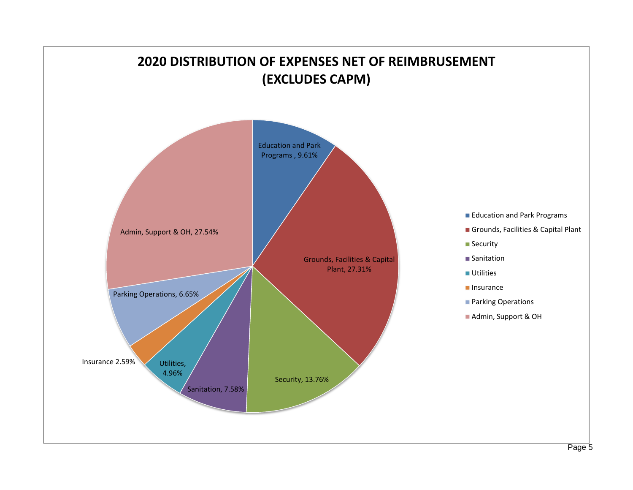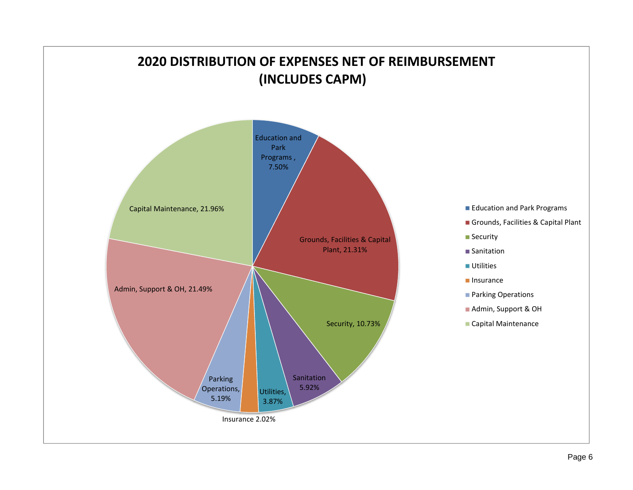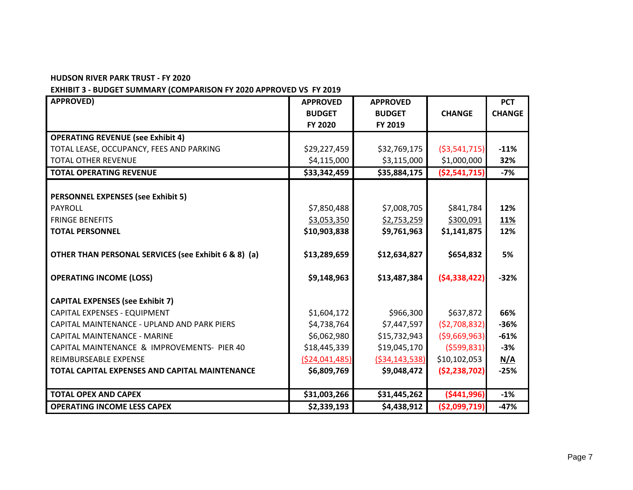#### **HUDSON RIVER PARK TRUST - FY 2020**

# **EXHIBIT 3 - BUDGET SUMMARY (COMPARISON FY 2020 APPROVED VS FY 2019**

| <b>APPROVED)</b>                                     | <b>APPROVED</b> | <b>APPROVED</b>   |                | <b>PCT</b>    |
|------------------------------------------------------|-----------------|-------------------|----------------|---------------|
|                                                      | <b>BUDGET</b>   | <b>BUDGET</b>     | <b>CHANGE</b>  | <b>CHANGE</b> |
|                                                      | FY 2020         | FY 2019           |                |               |
| <b>OPERATING REVENUE (see Exhibit 4)</b>             |                 |                   |                |               |
| TOTAL LEASE, OCCUPANCY, FEES AND PARKING             | \$29,227,459    | \$32,769,175      | ( \$3,541,715) | $-11%$        |
| <b>TOTAL OTHER REVENUE</b>                           | \$4,115,000     | \$3,115,000       | \$1,000,000    | 32%           |
| <b>TOTAL OPERATING REVENUE</b>                       | \$33,342,459    | \$35,884,175      | ( \$2,541,715) | $-7%$         |
|                                                      |                 |                   |                |               |
| <b>PERSONNEL EXPENSES (see Exhibit 5)</b>            |                 |                   |                |               |
| <b>PAYROLL</b>                                       | \$7,850,488     | \$7,008,705       | \$841,784      | 12%           |
| <b>FRINGE BENEFITS</b>                               | \$3,053,350     | \$2,753,259       | \$300,091      | 11%           |
| <b>TOTAL PERSONNEL</b>                               | \$10,903,838    | \$9,761,963       | \$1,141,875    | 12%           |
|                                                      |                 |                   |                |               |
| OTHER THAN PERSONAL SERVICES (see Exhibit 6 & 8) (a) | \$13,289,659    | \$12,634,827      | \$654,832      | 5%            |
|                                                      |                 |                   |                |               |
| <b>OPERATING INCOME (LOSS)</b>                       | \$9,148,963     | \$13,487,384      | (54, 338, 422) | $-32%$        |
| <b>CAPITAL EXPENSES (see Exhibit 7)</b>              |                 |                   |                |               |
| CAPITAL EXPENSES - EQUIPMENT                         | \$1,604,172     | \$966,300         | \$637,872      | 66%           |
| CAPITAL MAINTENANCE - UPLAND AND PARK PIERS          | \$4,738,764     | \$7,447,597       | (52,708,832)   | $-36%$        |
| <b>CAPITAL MAINTENANCE - MARINE</b>                  | \$6,062,980     | \$15,732,943      | ( \$9,669,963) | $-61%$        |
| CAPITAL MAINTENANCE & IMPROVEMENTS- PIER 40          | \$18,445,339    | \$19,045,170      | (5599, 831)    | $-3%$         |
| REIMBURSEABLE EXPENSE                                | ( \$24,041,485) | ( \$34, 143, 538) | \$10,102,053   | N/A           |
| TOTAL CAPITAL EXPENSES AND CAPITAL MAINTENANCE       | \$6,809,769     | \$9,048,472       | (52, 238, 702) | $-25%$        |
|                                                      |                 |                   |                |               |
| <b>TOTAL OPEX AND CAPEX</b>                          | \$31,003,266    | \$31,445,262      | ( \$441, 996)  | $-1%$         |
| <b>OPERATING INCOME LESS CAPEX</b>                   | \$2,339,193     | \$4,438,912       | ( \$2,099,719) | $-47%$        |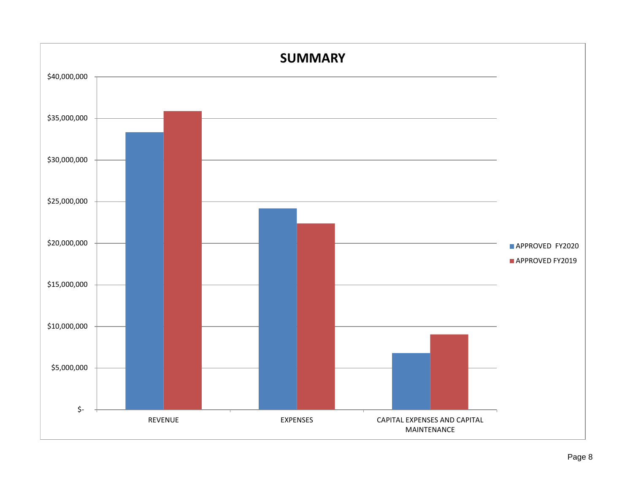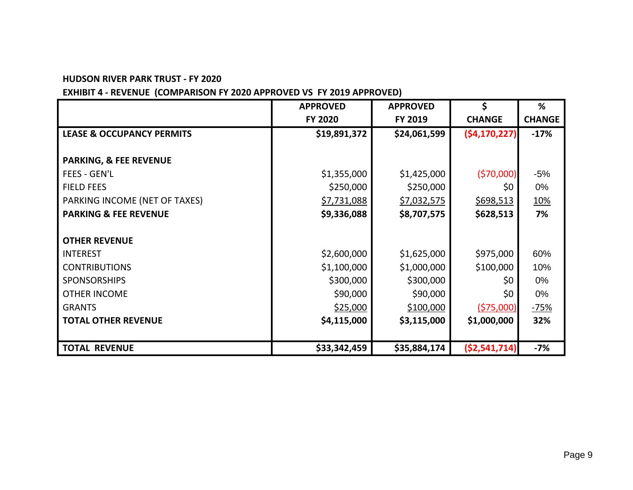#### **HUDSON RIVER PARK TRUST - FY 2020**

# **EXHIBIT 4 - REVENUE (COMPARISON FY 2020 APPROVED VS FY 2019 APPROVED)**

|                                      | <b>APPROVED</b> | <b>APPROVED</b> | \$             | %             |
|--------------------------------------|-----------------|-----------------|----------------|---------------|
|                                      | <b>FY 2020</b>  | FY 2019         | <b>CHANGE</b>  | <b>CHANGE</b> |
| <b>LEASE &amp; OCCUPANCY PERMITS</b> | \$19,891,372    | \$24,061,599    | (54, 170, 227) | $-17%$        |
|                                      |                 |                 |                |               |
| <b>PARKING, &amp; FEE REVENUE</b>    |                 |                 |                |               |
| <b>FEES - GEN'L</b>                  | \$1,355,000     | \$1,425,000     | (570,000)      | $-5%$         |
| <b>FIELD FEES</b>                    | \$250,000       | \$250,000       | \$0            | 0%            |
| PARKING INCOME (NET OF TAXES)        | \$7,731,088     | \$7,032,575     | \$698,513      | <u>10%</u>    |
| <b>PARKING &amp; FEE REVENUE</b>     | \$9,336,088     | \$8,707,575     | \$628,513      | 7%            |
|                                      |                 |                 |                |               |
| <b>OTHER REVENUE</b>                 |                 |                 |                |               |
| <b>INTEREST</b>                      | \$2,600,000     | \$1,625,000     | \$975,000      | 60%           |
| <b>CONTRIBUTIONS</b>                 | \$1,100,000     | \$1,000,000     | \$100,000      | 10%           |
| <b>SPONSORSHIPS</b>                  | \$300,000       | \$300,000       | \$0            | 0%            |
| <b>OTHER INCOME</b>                  | \$90,000        | \$90,000        | \$0            | 0%            |
| <b>GRANTS</b>                        | \$25,000        | \$100,000       | (575,000)      | $-75%$        |
| <b>TOTAL OTHER REVENUE</b>           | \$4,115,000     | \$3,115,000     | \$1,000,000    | 32%           |
|                                      |                 |                 |                |               |
| <b>TOTAL REVENUE</b>                 | \$33,342,459    | \$35,884,174    | ( \$2,541,714) | $-7%$         |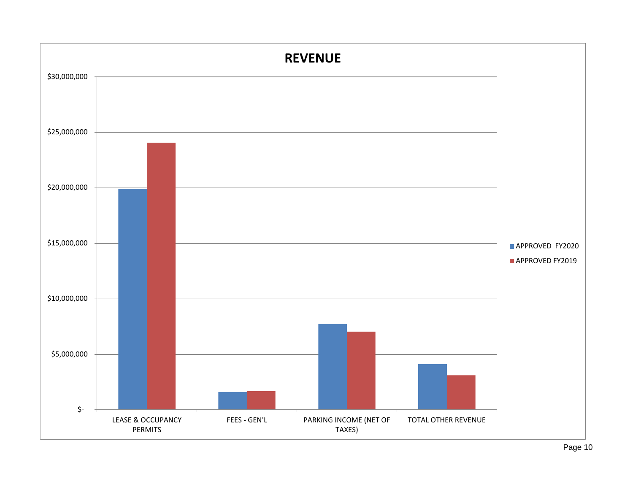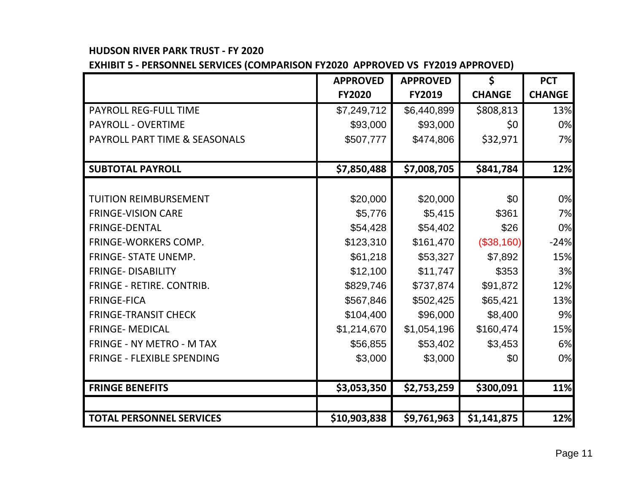# **HUDSON RIVER PARK TRUST - FY 2020**

**EXHIBIT 5 - PERSONNEL SERVICES (COMPARISON FY2020 APPROVED VS FY2019 APPROVED)**

|                                 | <b>APPROVED</b> | <b>APPROVED</b> | \$            | <b>PCT</b>    |
|---------------------------------|-----------------|-----------------|---------------|---------------|
|                                 | <b>FY2020</b>   | <b>FY2019</b>   | <b>CHANGE</b> | <b>CHANGE</b> |
| <b>PAYROLL REG-FULL TIME</b>    | \$7,249,712     | \$6,440,899     | \$808,813     | 13%           |
| <b>PAYROLL - OVERTIME</b>       | \$93,000        | \$93,000        | \$0           | 0%            |
| PAYROLL PART TIME & SEASONALS   | \$507,777       | \$474,806       | \$32,971      | 7%            |
|                                 |                 |                 |               |               |
| <b>SUBTOTAL PAYROLL</b>         | \$7,850,488     | \$7,008,705     | \$841,784     | 12%           |
|                                 |                 |                 |               |               |
| <b>TUITION REIMBURSEMENT</b>    | \$20,000        | \$20,000        | \$0           | 0%            |
| <b>FRINGE-VISION CARE</b>       | \$5,776         | \$5,415         | \$361         | 7%            |
| <b>FRINGE-DENTAL</b>            | \$54,428        | \$54,402        | \$26          | 0%            |
| <b>FRINGE-WORKERS COMP.</b>     | \$123,310       | \$161,470       | (\$38,160)    | $-24%$        |
| <b>FRINGE- STATE UNEMP.</b>     | \$61,218        | \$53,327        | \$7,892       | 15%           |
| <b>FRINGE- DISABILITY</b>       | \$12,100        | \$11,747        | \$353         | 3%            |
| FRINGE - RETIRE. CONTRIB.       | \$829,746       | \$737,874       | \$91,872      | 12%           |
| <b>FRINGE-FICA</b>              | \$567,846       | \$502,425       | \$65,421      | 13%           |
| <b>FRINGE-TRANSIT CHECK</b>     | \$104,400       | \$96,000        | \$8,400       | 9%            |
| <b>FRINGE- MEDICAL</b>          | \$1,214,670     | \$1,054,196     | \$160,474     | 15%           |
| FRINGE - NY METRO - M TAX       | \$56,855        | \$53,402        | \$3,453       | 6%            |
| FRINGE - FLEXIBLE SPENDING      | \$3,000         | \$3,000         | \$0           | 0%            |
|                                 |                 |                 |               |               |
| <b>FRINGE BENEFITS</b>          | \$3,053,350     | \$2,753,259     | \$300,091     | 11%           |
|                                 |                 |                 |               |               |
| <b>TOTAL PERSONNEL SERVICES</b> | \$10,903,838    | \$9,761,963     | \$1,141,875   | 12%           |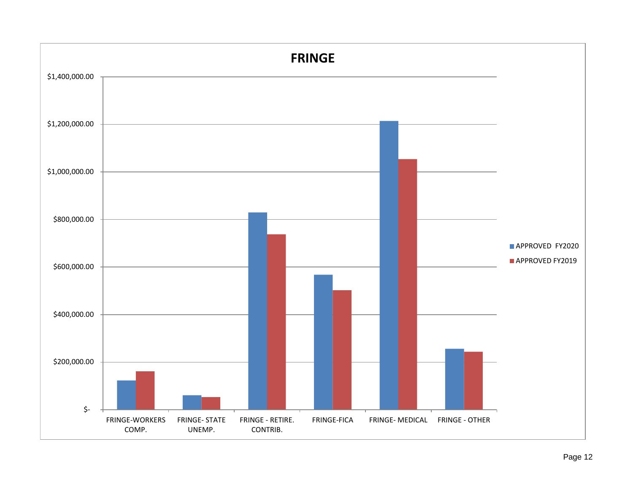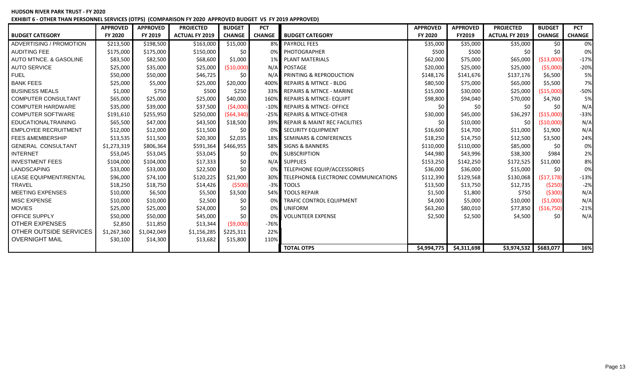**HUDSON RIVER PARK TRUST - FY 2020 EXHIBIT 6 - OTHER THAN PERSONNEL SERVICES (OTPS) (COMPARISON FY 2020 APPROVED BUDGET VS FY 2019 APPROVED)**

|                               | <b>APPROVED</b> | <b>APPROVED</b> | <b>PROJECTED</b>      | <b>BUDGET</b> | <b>PCT</b>    |                                          | <b>APPROVED</b> | <b>APPROVED</b> | <b>PROJECTED</b>      | <b>BUDGET</b> | <b>PCT</b>    |
|-------------------------------|-----------------|-----------------|-----------------------|---------------|---------------|------------------------------------------|-----------------|-----------------|-----------------------|---------------|---------------|
| <b>BUDGET CATEGORY</b>        | <b>FY 2020</b>  | FY 2019         | <b>ACTUAL FY 2019</b> | <b>CHANGE</b> | <b>CHANGE</b> | <b>BUDGET CATEGORY</b>                   | <b>FY 2020</b>  | <b>FY2019</b>   | <b>ACTUAL FY 2019</b> | <b>CHANGE</b> | <b>CHANGE</b> |
| ADVERTISING / PROMOTION       | \$213,500       | \$198,500       | \$163,000             | \$15,000      |               | 8% PAYROLL FEES                          | \$35,000        | \$35,000        | \$35,000              | \$0           | 0%            |
| <b>AUDITING FEE</b>           | \$175,000       | \$175,000       | \$150,000             | \$0           |               | 0% PHOTOGRAPHER                          | \$500           | \$500           | \$0                   | \$0           | 0%            |
| AUTO MTNCE, & GASOLINE        | \$83,500        | \$82,500        | \$68,600              | \$1,000       |               | <b>1% PLANT MATERIALS</b>                | \$62,000        | \$75,000        | \$65,000              | ( \$13,000]   | $-17%$        |
| <b>AUTO SERVICE</b>           | \$25,000        | \$35,000        | \$25,000              | ( \$10,000)   |               | N/A POSTAGE                              | \$20,000        | \$25,000        | \$25,000              | (55,000)      | $-20%$        |
| <b>FUEL</b>                   | \$50,000        | \$50,000        | \$46,725              | \$0           |               | N/A PRINTING & REPRODUCTION              | \$148,176       | \$141,676       | \$137,176             | \$6,500       | 5%            |
| <b>BANK FEES</b>              | \$25,000        | \$5,000         | \$25,000              | \$20,000      |               | 400% REPAIRS & MTNCE - BLDG              | \$80,500        | \$75,000        | \$65,000              | \$5,500       | 7%            |
| <b>BUSINESS MEALS</b>         | \$1,000         | \$750           | \$500                 | \$250         |               | 33% REPAIRS & MTNCE - MARINE             | \$15,000        | \$30,000        | \$25,000              | (\$15,000)    | $-50%$        |
| <b>COMPUTER CONSULTANT</b>    | \$65,000        | \$25,000        | \$25,000              | \$40,000      |               | 160% REPAIRS & MTNCE-EQUIPT              | \$98,800        | \$94,040        | \$70,000              | \$4,760       | 5%            |
| <b>COMPUTER HARDWARE</b>      | \$35,000        | \$39,000        | \$37,500              | (54,000)      |               | -10% REPAIRS & MTNCE- OFFICE             | \$0             | \$0             | \$0                   | \$0           | N/A           |
| <b>COMPUTER SOFTWARE</b>      | \$191,610       | \$255,950       | \$250,000             | ( \$64, 340)  |               | -25% REPAIRS & MTNCE-OTHER               | \$30,000        | \$45,000        | \$36,297              | ( \$15,000]   | $-33%$        |
| <b>EDUCATIONALTRAINING</b>    | \$65,500        | \$47,000        | \$43,500              | \$18,500      | 39%           | REPAIR & MAINT REC FACILITIES            | \$0             | \$10,000        | \$0                   | ( \$10,000]   | N/A           |
| <b>EMPLOYEE RECRUITMENT</b>   | \$12,000        | \$12,000        | \$11,500              | \$0           | 0%            | <b>SECURITY EQUIPMENT</b>                | \$16,600        | \$14,700        | \$11,000              | \$1,900       | N/A           |
| <b>FEES &amp;MEMBERSHIP</b>   | \$13,535        | \$11,500        | \$20,300              | \$2,035       | 18%           | <b>SEMINARS &amp; CONFERENCES</b>        | \$18,250        | \$14,750        | \$12,500              | \$3,500       | 24%           |
| <b>GENERAL CONSULTANT</b>     | \$1,273,319     | \$806,364       | \$591,364             | \$466,955     |               | 58% SIGNS & BANNERS                      | \$110,000       | \$110,000       | \$85,000              | \$0           | 0%            |
| <b>INTERNET</b>               | \$53,045        | \$53,045        | \$53,045              | \$0           | በ%            | <b>SUBSCRIPTION</b>                      | \$44,980        | \$43,996        | \$38,300              | \$984         | 2%            |
| <b>INVESTMENT FEES</b>        | \$104,000       | \$104,000       | \$17,333              | \$0           |               | N/A SUPPLIES                             | \$153,250       | \$142,250       | \$172,525             | \$11,000      | 8%            |
| LANDSCAPING                   | \$33,000        | \$33,000        | \$22,500              | \$0           |               | TELEPHONE EQUIP/ACCESSORIES              | \$36,000        | \$36,000        | \$15,000              | \$0           | 0%            |
| <b>LEASE EQUIPMENT/RENTAL</b> | \$96,000        | \$74,100        | \$120,225             | \$21,900      |               | 30% TELEPHONE& ELECTRONIC COMMUNICATIONS | \$112,390       | \$129,568       | \$130,068             | (517, 178)    | $-13%$        |
| <b>TRAVEL</b>                 | \$18,250        | \$18,750        | \$14,426              | (5500)        |               | -3% TOOLS                                | \$13,500        | \$13,750        | \$12,735              | (5250)        | $-2%$         |
| <b>MEETING EXPENSES</b>       | \$10,000        | \$6,500         | \$5,500               | \$3,500       |               | 54% TOOLS REPAIR                         | \$1,500         | \$1,800         | \$750                 | ( \$300)      | N/A           |
| MISC EXPENSE                  | \$10,000        | \$10,000        | \$2,500               | \$0           |               | <b>TRAFIC CONTROL EQUIPMENT</b>          | \$4,000         | \$5,000         | \$10,000              | (51,000)      | N/A           |
| <b>MOVIES</b>                 | \$25,000        | \$25,000        | \$24,000              | \$0           | 0%            | <b>UNIFORM</b>                           | \$63,260        | \$80,010        | \$77,850              | (\$16,750)    | $-21%$        |
| OFFICE SUPPLY                 | \$50,000        | \$50,000        | \$45,000              | \$0           |               | <b>VOLUNTEER EXPENSE</b>                 | \$2,500         | \$2,500         | \$4,500               | \$0           | N/A           |
| <b>OTHER EXPENSES</b>         | \$2,850         | \$11,850        | \$13,344              | (59,000)      | $-76%$        |                                          |                 |                 |                       |               |               |
| OTHER OUTSIDE SERVICES        | \$1,267,360     | \$1,042,049     | \$1,156,285           | \$225,311     | 22%           |                                          |                 |                 |                       |               |               |
| <b>OVERNIGHT MAIL</b>         | \$30,100        | \$14,300        | \$13,682              | \$15,800      | 110%          |                                          |                 |                 |                       |               |               |
|                               |                 |                 |                       |               |               | <b>TOTAL OTPS</b>                        | \$4,994,775     | \$4,311,698     | \$3,974,532           | \$683,077     | 16%           |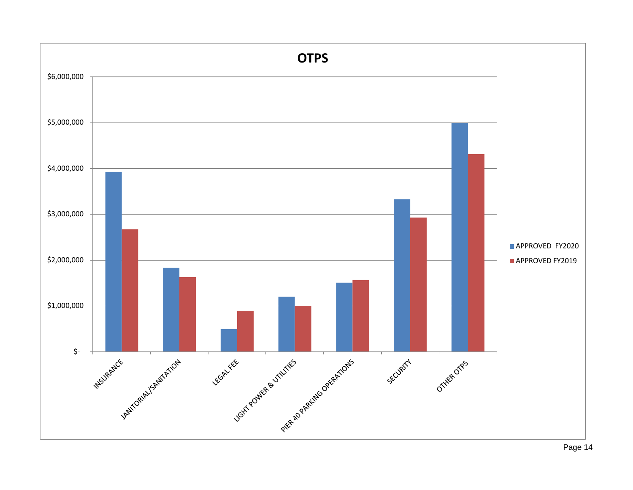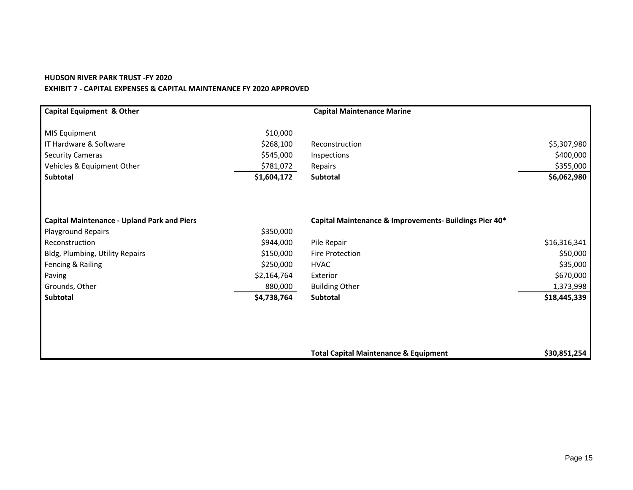#### **HUDSON RIVER PARK TRUST -FY 2020 EXHIBIT 7 - CAPITAL EXPENSES & CAPITAL MAINTENANCE FY 2020 APPROVED**

| <b>Capital Equipment &amp; Other</b>               |             | <b>Capital Maintenance Marine</b>                      |              |
|----------------------------------------------------|-------------|--------------------------------------------------------|--------------|
| MIS Equipment                                      | \$10,000    |                                                        |              |
| IT Hardware & Software                             | \$268,100   | Reconstruction                                         | \$5,307,980  |
| <b>Security Cameras</b>                            | \$545,000   | Inspections                                            | \$400,000    |
| Vehicles & Equipment Other                         | \$781,072   | Repairs                                                | \$355,000    |
| Subtotal                                           | \$1,604,172 | Subtotal                                               | \$6,062,980  |
|                                                    |             |                                                        |              |
| <b>Capital Maintenance - Upland Park and Piers</b> |             | Capital Maintenance & Improvements- Buildings Pier 40* |              |
| <b>Playground Repairs</b>                          | \$350,000   |                                                        |              |
| Reconstruction                                     | \$944,000   | Pile Repair                                            | \$16,316,341 |
| Bldg, Plumbing, Utility Repairs                    | \$150,000   | <b>Fire Protection</b>                                 | \$50,000     |
| Fencing & Railing                                  | \$250,000   | <b>HVAC</b>                                            | \$35,000     |
| Paving                                             | \$2,164,764 | Exterior                                               | \$670,000    |
| Grounds, Other                                     | 880,000     | <b>Building Other</b>                                  | 1,373,998    |
| Subtotal                                           | \$4,738,764 | Subtotal                                               | \$18,445,339 |
|                                                    |             |                                                        |              |
|                                                    |             |                                                        |              |
|                                                    |             | <b>Total Capital Maintenance &amp; Equipment</b>       | \$30,851,254 |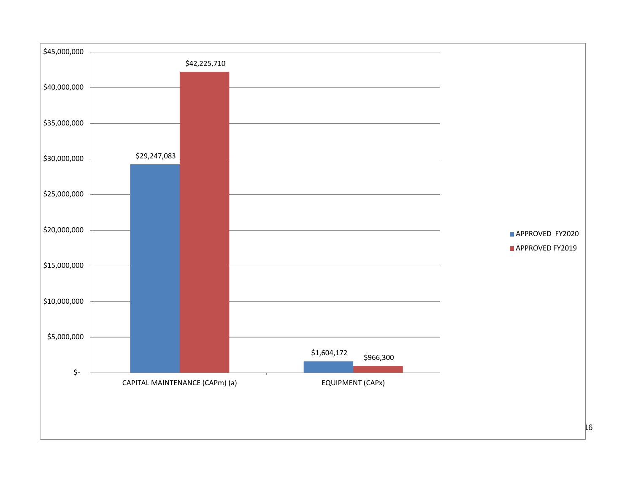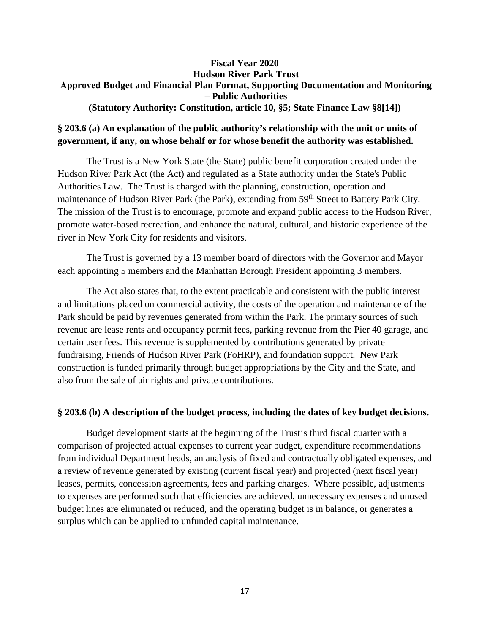## **Fiscal Year 2020 Hudson River Park Trust Approved Budget and Financial Plan Format, Supporting Documentation and Monitoring – Public Authorities (Statutory Authority: Constitution, article 10, §5; State Finance Law §8[14])**

# **§ 203.6 (a) An explanation of the public authority's relationship with the unit or units of government, if any, on whose behalf or for whose benefit the authority was established.**

The Trust is a New York State (the State) public benefit corporation created under the Hudson River Park Act (the Act) and regulated as a State authority under the State's Public Authorities Law. The Trust is charged with the planning, construction, operation and maintenance of Hudson River Park (the Park), extending from 59<sup>th</sup> Street to Battery Park City. The mission of the Trust is to encourage, promote and expand public access to the Hudson River, promote water-based recreation, and enhance the natural, cultural, and historic experience of the river in New York City for residents and visitors.

The Trust is governed by a 13 member board of directors with the Governor and Mayor each appointing 5 members and the Manhattan Borough President appointing 3 members.

The Act also states that, to the extent practicable and consistent with the public interest and limitations placed on commercial activity, the costs of the operation and maintenance of the Park should be paid by revenues generated from within the Park. The primary sources of such revenue are lease rents and occupancy permit fees, parking revenue from the Pier 40 garage, and certain user fees. This revenue is supplemented by contributions generated by private fundraising, Friends of Hudson River Park (FoHRP), and foundation support. New Park construction is funded primarily through budget appropriations by the City and the State, and also from the sale of air rights and private contributions.

#### **§ 203.6 (b) A description of the budget process, including the dates of key budget decisions.**

Budget development starts at the beginning of the Trust's third fiscal quarter with a comparison of projected actual expenses to current year budget, expenditure recommendations from individual Department heads, an analysis of fixed and contractually obligated expenses, and a review of revenue generated by existing (current fiscal year) and projected (next fiscal year) leases, permits, concession agreements, fees and parking charges. Where possible, adjustments to expenses are performed such that efficiencies are achieved, unnecessary expenses and unused budget lines are eliminated or reduced, and the operating budget is in balance, or generates a surplus which can be applied to unfunded capital maintenance.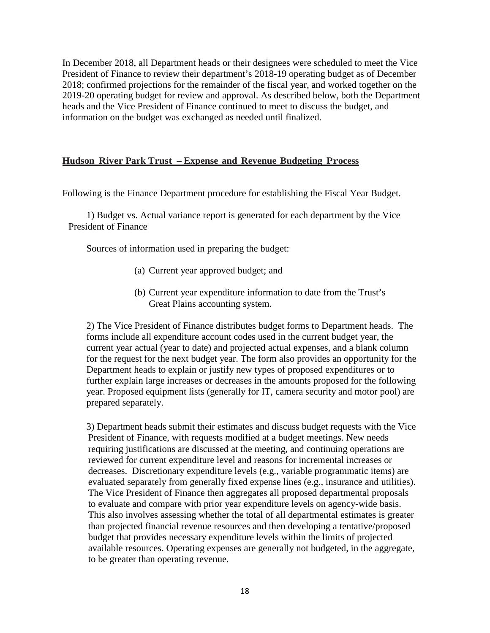In December 2018, all Department heads or their designees were scheduled to meet the Vice President of Finance to review their department's 2018-19 operating budget as of December 2018; confirmed projections for the remainder of the fiscal year, and worked together on the 2019-20 operating budget for review and approval. As described below, both the Department heads and the Vice President of Finance continued to meet to discuss the budget, and information on the budget was exchanged as needed until finalized.

## **Hudson River Park Trust – Expense and Revenue Budgeting Process**

Following is the Finance Department procedure for establishing the Fiscal Year Budget.

1) Budget vs. Actual variance report is generated for each department by the Vice President of Finance

Sources of information used in preparing the budget:

- (a) Current year approved budget; and
- (b) Current year expenditure information to date from the Trust's Great Plains accounting system.

2) The Vice President of Finance distributes budget forms to Department heads. The forms include all expenditure account codes used in the current budget year, the current year actual (year to date) and projected actual expenses, and a blank column for the request for the next budget year. The form also provides an opportunity for the Department heads to explain or justify new types of proposed expenditures or to further explain large increases or decreases in the amounts proposed for the following year. Proposed equipment lists (generally for IT, camera security and motor pool) are prepared separately.

3) Department heads submit their estimates and discuss budget requests with the Vice President of Finance, with requests modified at a budget meetings. New needs requiring justifications are discussed at the meeting, and continuing operations are reviewed for current expenditure level and reasons for incremental increases or decreases. Discretionary expenditure levels (e.g., variable programmatic items) are evaluated separately from generally fixed expense lines (e.g., insurance and utilities). The Vice President of Finance then aggregates all proposed departmental proposals to evaluate and compare with prior year expenditure levels on agency-wide basis. This also involves assessing whether the total of all departmental estimates is greater than projected financial revenue resources and then developing a tentative/proposed budget that provides necessary expenditure levels within the limits of projected available resources. Operating expenses are generally not budgeted, in the aggregate, to be greater than operating revenue.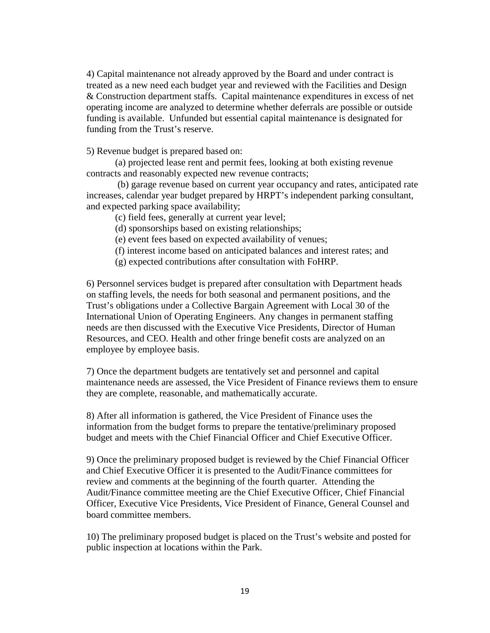4) Capital maintenance not already approved by the Board and under contract is treated as a new need each budget year and reviewed with the Facilities and Design & Construction department staffs. Capital maintenance expenditures in excess of net operating income are analyzed to determine whether deferrals are possible or outside funding is available. Unfunded but essential capital maintenance is designated for funding from the Trust's reserve.

5) Revenue budget is prepared based on:

(a) projected lease rent and permit fees, looking at both existing revenue contracts and reasonably expected new revenue contracts;

(b) garage revenue based on current year occupancy and rates, anticipated rate increases, calendar year budget prepared by HRPT's independent parking consultant, and expected parking space availability;

(c) field fees, generally at current year level;

(d) sponsorships based on existing relationships;

(e) event fees based on expected availability of venues;

(f) interest income based on anticipated balances and interest rates; and

(g) expected contributions after consultation with FoHRP.

6) Personnel services budget is prepared after consultation with Department heads on staffing levels, the needs for both seasonal and permanent positions, and the Trust's obligations under a Collective Bargain Agreement with Local 30 of the International Union of Operating Engineers. Any changes in permanent staffing needs are then discussed with the Executive Vice Presidents, Director of Human Resources, and CEO. Health and other fringe benefit costs are analyzed on an employee by employee basis.

7) Once the department budgets are tentatively set and personnel and capital maintenance needs are assessed, the Vice President of Finance reviews them to ensure they are complete, reasonable, and mathematically accurate.

8) After all information is gathered, the Vice President of Finance uses the information from the budget forms to prepare the tentative/preliminary proposed budget and meets with the Chief Financial Officer and Chief Executive Officer.

9) Once the preliminary proposed budget is reviewed by the Chief Financial Officer and Chief Executive Officer it is presented to the Audit/Finance committees for review and comments at the beginning of the fourth quarter. Attending the Audit/Finance committee meeting are the Chief Executive Officer, Chief Financial Officer, Executive Vice Presidents, Vice President of Finance, General Counsel and board committee members.

10) The preliminary proposed budget is placed on the Trust's website and posted for public inspection at locations within the Park.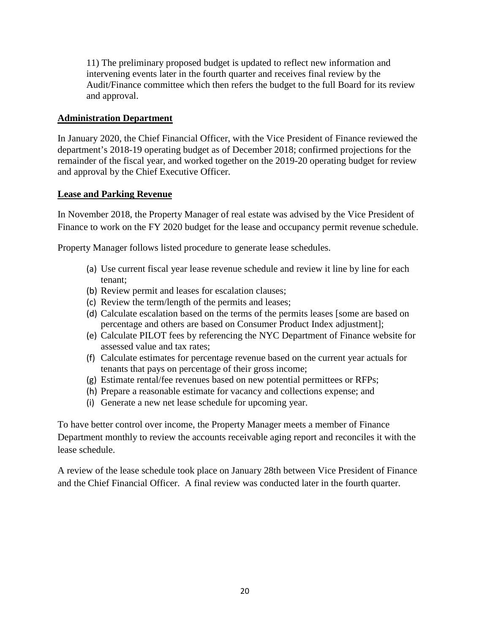11) The preliminary proposed budget is updated to reflect new information and intervening events later in the fourth quarter and receives final review by the Audit/Finance committee which then refers the budget to the full Board for its review and approval.

## **Administration Department**

In January 2020, the Chief Financial Officer, with the Vice President of Finance reviewed the department's 2018-19 operating budget as of December 2018; confirmed projections for the remainder of the fiscal year, and worked together on the 2019-20 operating budget for review and approval by the Chief Executive Officer.

## **Lease and Parking Revenue**

In November 2018, the Property Manager of real estate was advised by the Vice President of Finance to work on the FY 2020 budget for the lease and occupancy permit revenue schedule.

Property Manager follows listed procedure to generate lease schedules.

- (a) Use current fiscal year lease revenue schedule and review it line by line for each tenant;
- (b) Review permit and leases for escalation clauses;
- (c) Review the term/length of the permits and leases;
- (d) Calculate escalation based on the terms of the permits leases [some are based on percentage and others are based on Consumer Product Index adjustment];
- (e) Calculate PILOT fees by referencing the NYC Department of Finance website for assessed value and tax rates;
- (f) Calculate estimates for percentage revenue based on the current year actuals for tenants that pays on percentage of their gross income;
- (g) Estimate rental/fee revenues based on new potential permittees or RFPs;
- (h) Prepare a reasonable estimate for vacancy and collections expense; and
- (i) Generate a new net lease schedule for upcoming year.

To have better control over income, the Property Manager meets a member of Finance Department monthly to review the accounts receivable aging report and reconciles it with the lease schedule.

A review of the lease schedule took place on January 28th between Vice President of Finance and the Chief Financial Officer. A final review was conducted later in the fourth quarter.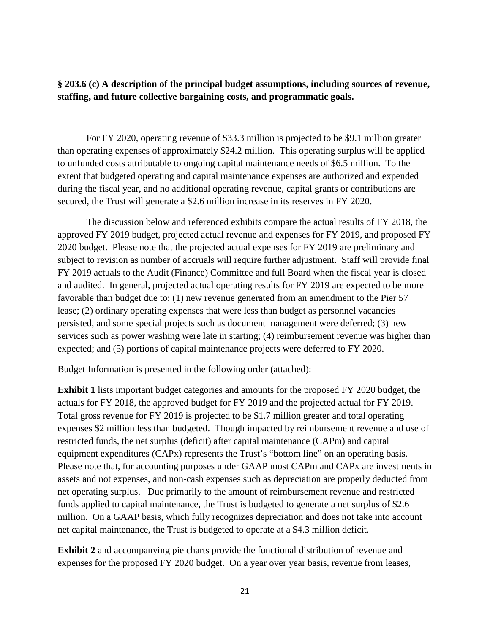**§ 203.6 (c) A description of the principal budget assumptions, including sources of revenue, staffing, and future collective bargaining costs, and programmatic goals.**

For FY 2020, operating revenue of \$33.3 million is projected to be \$9.1 million greater than operating expenses of approximately \$24.2 million. This operating surplus will be applied to unfunded costs attributable to ongoing capital maintenance needs of \$6.5 million. To the extent that budgeted operating and capital maintenance expenses are authorized and expended during the fiscal year, and no additional operating revenue, capital grants or contributions are secured, the Trust will generate a \$2.6 million increase in its reserves in FY 2020.

The discussion below and referenced exhibits compare the actual results of FY 2018, the approved FY 2019 budget, projected actual revenue and expenses for FY 2019, and proposed FY 2020 budget. Please note that the projected actual expenses for FY 2019 are preliminary and subject to revision as number of accruals will require further adjustment. Staff will provide final FY 2019 actuals to the Audit (Finance) Committee and full Board when the fiscal year is closed and audited. In general, projected actual operating results for FY 2019 are expected to be more favorable than budget due to: (1) new revenue generated from an amendment to the Pier 57 lease; (2) ordinary operating expenses that were less than budget as personnel vacancies persisted, and some special projects such as document management were deferred; (3) new services such as power washing were late in starting; (4) reimbursement revenue was higher than expected; and (5) portions of capital maintenance projects were deferred to FY 2020.

Budget Information is presented in the following order (attached):

**Exhibit 1** lists important budget categories and amounts for the proposed FY 2020 budget, the actuals for FY 2018, the approved budget for FY 2019 and the projected actual for FY 2019. Total gross revenue for FY 2019 is projected to be \$1.7 million greater and total operating expenses \$2 million less than budgeted. Though impacted by reimbursement revenue and use of restricted funds, the net surplus (deficit) after capital maintenance (CAPm) and capital equipment expenditures (CAPx) represents the Trust's "bottom line" on an operating basis. Please note that, for accounting purposes under GAAP most CAPm and CAPx are investments in assets and not expenses, and non-cash expenses such as depreciation are properly deducted from net operating surplus. Due primarily to the amount of reimbursement revenue and restricted funds applied to capital maintenance, the Trust is budgeted to generate a net surplus of \$2.6 million. On a GAAP basis, which fully recognizes depreciation and does not take into account net capital maintenance, the Trust is budgeted to operate at a \$4.3 million deficit.

**Exhibit 2** and accompanying pie charts provide the functional distribution of revenue and expenses for the proposed FY 2020 budget. On a year over year basis, revenue from leases,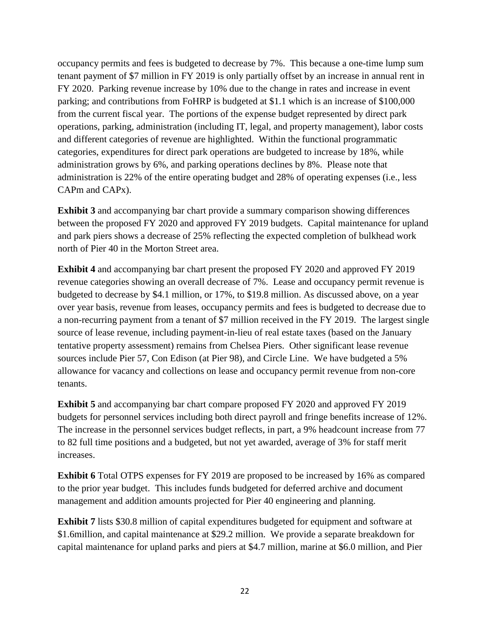occupancy permits and fees is budgeted to decrease by 7%. This because a one-time lump sum tenant payment of \$7 million in FY 2019 is only partially offset by an increase in annual rent in FY 2020. Parking revenue increase by 10% due to the change in rates and increase in event parking; and contributions from FoHRP is budgeted at \$1.1 which is an increase of \$100,000 from the current fiscal year. The portions of the expense budget represented by direct park operations, parking, administration (including IT, legal, and property management), labor costs and different categories of revenue are highlighted. Within the functional programmatic categories, expenditures for direct park operations are budgeted to increase by 18%, while administration grows by 6%, and parking operations declines by 8%. Please note that administration is 22% of the entire operating budget and 28% of operating expenses (i.e., less CAPm and CAPx).

**Exhibit 3** and accompanying bar chart provide a summary comparison showing differences between the proposed FY 2020 and approved FY 2019 budgets. Capital maintenance for upland and park piers shows a decrease of 25% reflecting the expected completion of bulkhead work north of Pier 40 in the Morton Street area.

**Exhibit 4** and accompanying bar chart present the proposed FY 2020 and approved FY 2019 revenue categories showing an overall decrease of 7%. Lease and occupancy permit revenue is budgeted to decrease by \$4.1 million, or 17%, to \$19.8 million. As discussed above, on a year over year basis, revenue from leases, occupancy permits and fees is budgeted to decrease due to a non-recurring payment from a tenant of \$7 million received in the FY 2019. The largest single source of lease revenue, including payment-in-lieu of real estate taxes (based on the January tentative property assessment) remains from Chelsea Piers. Other significant lease revenue sources include Pier 57, Con Edison (at Pier 98), and Circle Line. We have budgeted a 5% allowance for vacancy and collections on lease and occupancy permit revenue from non-core tenants.

**Exhibit 5** and accompanying bar chart compare proposed FY 2020 and approved FY 2019 budgets for personnel services including both direct payroll and fringe benefits increase of 12%. The increase in the personnel services budget reflects, in part, a 9% headcount increase from 77 to 82 full time positions and a budgeted, but not yet awarded, average of 3% for staff merit increases.

**Exhibit 6** Total OTPS expenses for FY 2019 are proposed to be increased by 16% as compared to the prior year budget. This includes funds budgeted for deferred archive and document management and addition amounts projected for Pier 40 engineering and planning.

**Exhibit 7** lists \$30.8 million of capital expenditures budgeted for equipment and software at \$1.6million, and capital maintenance at \$29.2 million. We provide a separate breakdown for capital maintenance for upland parks and piers at \$4.7 million, marine at \$6.0 million, and Pier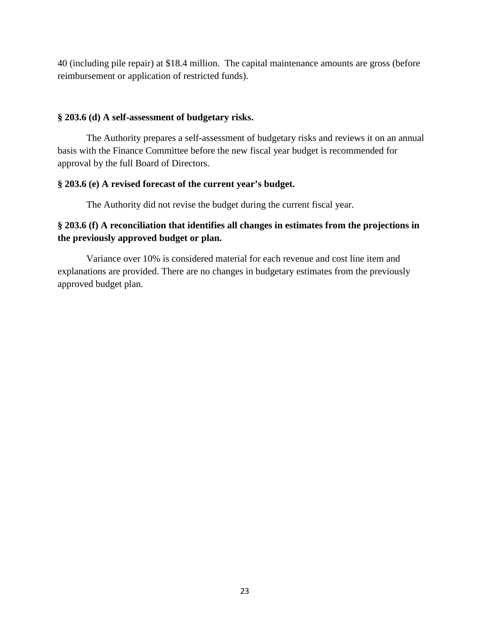40 (including pile repair) at \$18.4 million. The capital maintenance amounts are gross (before reimbursement or application of restricted funds).

## **§ 203.6 (d) A self-assessment of budgetary risks.**

The Authority prepares a self-assessment of budgetary risks and reviews it on an annual basis with the Finance Committee before the new fiscal year budget is recommended for approval by the full Board of Directors.

## **§ 203.6 (e) A revised forecast of the current year's budget.**

The Authority did not revise the budget during the current fiscal year.

# **§ 203.6 (f) A reconciliation that identifies all changes in estimates from the projections in the previously approved budget or plan.**

Variance over 10% is considered material for each revenue and cost line item and explanations are provided. There are no changes in budgetary estimates from the previously approved budget plan.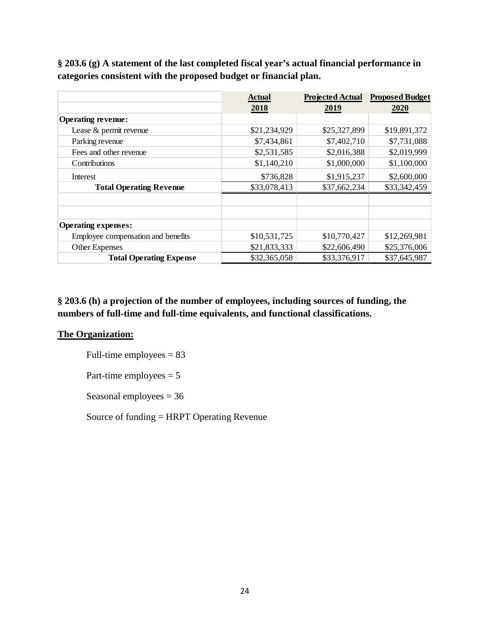**§ 203.6 (g) A statement of the last completed fiscal year's actual financial performance in categories consistent with the proposed budget or financial plan.**

|                                    | <b>Actual</b> |              | <b>Projected Actual Proposed Budget</b> |
|------------------------------------|---------------|--------------|-----------------------------------------|
|                                    | 2018          | 2019         | 2020                                    |
| <b>Operating revenue:</b>          |               |              |                                         |
| Lease & permit revenue             | \$21,234,929  | \$25,327,899 | \$19,891,372                            |
| Parking revenue                    | \$7,434,861   | \$7,402,710  | \$7,731,088                             |
| Fees and other revenue             | \$2,531,585   | \$2,016,388  | \$2,019,999                             |
| Contributions                      | \$1,140,210   | \$1,000,000  | \$1,100,000                             |
| Interest                           | \$736,828     | \$1,915,237  | \$2,600,000                             |
| <b>Total Operating Revenue</b>     | \$33,078,413  | \$37,662,234 | \$33,342,459                            |
|                                    |               |              |                                         |
|                                    |               |              |                                         |
| <b>Operating expenses:</b>         |               |              |                                         |
| Employee compensation and benefits | \$10,531,725  | \$10,770,427 | \$12,269,981                            |
| Other Expenses                     | \$21,833,333  | \$22,606,490 | \$25,376,006                            |
| <b>Total Operating Expense</b>     | \$32,365,058  | \$33,376,917 | \$37,645,987                            |

**§ 203.6 (h) a projection of the number of employees, including sources of funding, the numbers of full-time and full-time equivalents, and functional classifications.**

# **The Organization:**

Full-time employees  $= 83$ 

Part-time employees  $= 5$ 

Seasonal employees = 36

Source of funding = HRPT Operating Revenue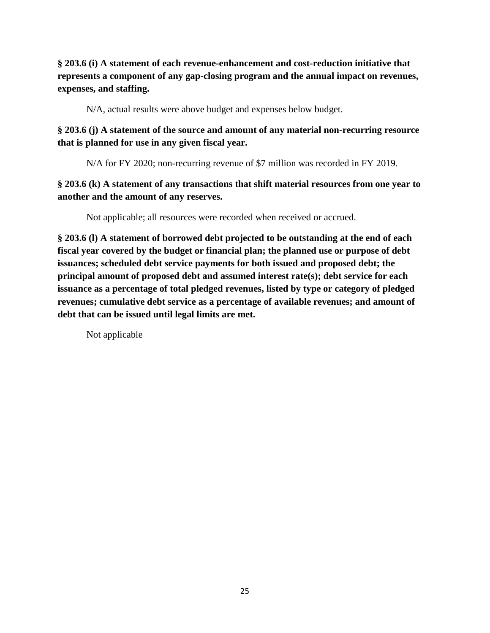**§ 203.6 (i) A statement of each revenue-enhancement and cost-reduction initiative that represents a component of any gap-closing program and the annual impact on revenues, expenses, and staffing.**

N/A, actual results were above budget and expenses below budget.

**§ 203.6 (j) A statement of the source and amount of any material non-recurring resource that is planned for use in any given fiscal year.**

N/A for FY 2020; non-recurring revenue of \$7 million was recorded in FY 2019.

**§ 203.6 (k) A statement of any transactions that shift material resources from one year to another and the amount of any reserves.**

Not applicable; all resources were recorded when received or accrued.

**§ 203.6 (l) A statement of borrowed debt projected to be outstanding at the end of each fiscal year covered by the budget or financial plan; the planned use or purpose of debt issuances; scheduled debt service payments for both issued and proposed debt; the principal amount of proposed debt and assumed interest rate(s); debt service for each issuance as a percentage of total pledged revenues, listed by type or category of pledged revenues; cumulative debt service as a percentage of available revenues; and amount of debt that can be issued until legal limits are met.**

Not applicable